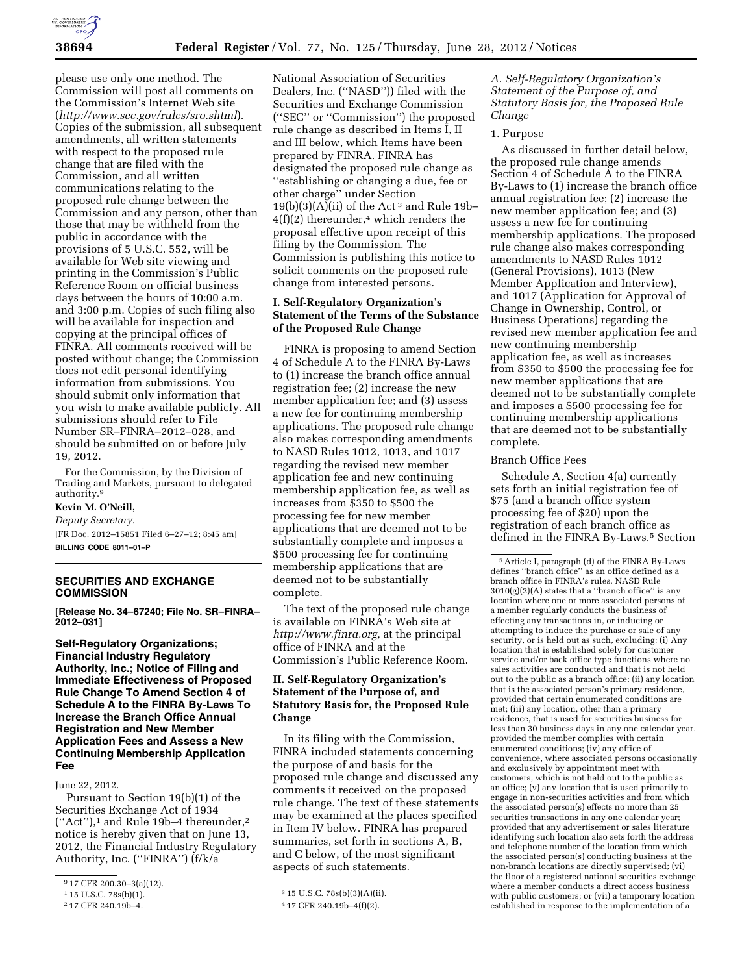

please use only one method. The Commission will post all comments on the Commission's Internet Web site (*<http://www.sec.gov/rules/sro.shtml>*). Copies of the submission, all subsequent amendments, all written statements with respect to the proposed rule change that are filed with the Commission, and all written communications relating to the proposed rule change between the Commission and any person, other than those that may be withheld from the public in accordance with the provisions of 5 U.S.C. 552, will be available for Web site viewing and printing in the Commission's Public Reference Room on official business days between the hours of 10:00 a.m. and 3:00 p.m. Copies of such filing also will be available for inspection and copying at the principal offices of FINRA. All comments received will be posted without change; the Commission does not edit personal identifying information from submissions. You should submit only information that you wish to make available publicly. All submissions should refer to File Number SR–FINRA–2012–028, and should be submitted on or before July 19, 2012.

For the Commission, by the Division of Trading and Markets, pursuant to delegated authority.<sup>9</sup>

## **Kevin M. O'Neill,**  *Deputy Secretary.*

[FR Doc. 2012–15851 Filed 6–27–12; 8:45 am] **BILLING CODE 8011–01–P** 

## **SECURITIES AND EXCHANGE COMMISSION**

**[Release No. 34–67240; File No. SR–FINRA– 2012–031]** 

**Self-Regulatory Organizations; Financial Industry Regulatory Authority, Inc.; Notice of Filing and Immediate Effectiveness of Proposed Rule Change To Amend Section 4 of Schedule A to the FINRA By-Laws To Increase the Branch Office Annual Registration and New Member Application Fees and Assess a New Continuing Membership Application Fee** 

June 22, 2012.

Pursuant to Section 19(b)(1) of the Securities Exchange Act of 1934  $("Act")$ ,<sup>1</sup> and Rule 19b-4 thereunder,<sup>2</sup> notice is hereby given that on June 13, 2012, the Financial Industry Regulatory Authority, Inc. (''FINRA'') (f/k/a

National Association of Securities Dealers, Inc. (''NASD'')) filed with the Securities and Exchange Commission (''SEC'' or ''Commission'') the proposed rule change as described in Items I, II and III below, which Items have been prepared by FINRA. FINRA has designated the proposed rule change as ''establishing or changing a due, fee or other charge'' under Section  $19(b)(3)(A)(ii)$  of the Act<sup>3</sup> and Rule 19b- $4(f)(2)$  thereunder,<sup>4</sup> which renders the proposal effective upon receipt of this filing by the Commission. The Commission is publishing this notice to solicit comments on the proposed rule change from interested persons.

# **I. Self-Regulatory Organization's Statement of the Terms of the Substance of the Proposed Rule Change**

FINRA is proposing to amend Section 4 of Schedule A to the FINRA By-Laws to (1) increase the branch office annual registration fee; (2) increase the new member application fee; and (3) assess a new fee for continuing membership applications. The proposed rule change also makes corresponding amendments to NASD Rules 1012, 1013, and 1017 regarding the revised new member application fee and new continuing membership application fee, as well as increases from \$350 to \$500 the processing fee for new member applications that are deemed not to be substantially complete and imposes a \$500 processing fee for continuing membership applications that are deemed not to be substantially complete.

The text of the proposed rule change is available on FINRA's Web site at *[http://www.finra.org,](http://www.finra.org)* at the principal office of FINRA and at the Commission's Public Reference Room.

# **II. Self-Regulatory Organization's Statement of the Purpose of, and Statutory Basis for, the Proposed Rule Change**

In its filing with the Commission, FINRA included statements concerning the purpose of and basis for the proposed rule change and discussed any comments it received on the proposed rule change. The text of these statements may be examined at the places specified in Item IV below. FINRA has prepared summaries, set forth in sections A, B, and C below, of the most significant aspects of such statements.

*A. Self-Regulatory Organization's Statement of the Purpose of, and Statutory Basis for, the Proposed Rule Change* 

### 1. Purpose

As discussed in further detail below, the proposed rule change amends Section 4 of Schedule A to the FINRA By-Laws to (1) increase the branch office annual registration fee; (2) increase the new member application fee; and (3) assess a new fee for continuing membership applications. The proposed rule change also makes corresponding amendments to NASD Rules 1012 (General Provisions), 1013 (New Member Application and Interview), and 1017 (Application for Approval of Change in Ownership, Control, or Business Operations) regarding the revised new member application fee and new continuing membership application fee, as well as increases from \$350 to \$500 the processing fee for new member applications that are deemed not to be substantially complete and imposes a \$500 processing fee for continuing membership applications that are deemed not to be substantially complete.

#### Branch Office Fees

Schedule A, Section 4(a) currently sets forth an initial registration fee of \$75 (and a branch office system processing fee of \$20) upon the registration of each branch office as defined in the FINRA By-Laws.<sup>5</sup> Section

<sup>9</sup> 17 CFR 200.30–3(a)(12).

<sup>1</sup> 15 U.S.C. 78s(b)(1).

<sup>2</sup> 17 CFR 240.19b–4.

<sup>3</sup> 15 U.S.C. 78s(b)(3)(A)(ii).

<sup>4</sup> 17 CFR 240.19b–4(f)(2).

<sup>5</sup>Article I, paragraph (d) of the FINRA By-Laws defines ''branch office'' as an office defined as a branch office in FINRA's rules. NASD Rule  $3010(g)(2)(A)$  states that a "branch office" is any location where one or more associated persons of a member regularly conducts the business of effecting any transactions in, or inducing or attempting to induce the purchase or sale of any security, or is held out as such, excluding: (i) Any location that is established solely for customer service and/or back office type functions where no sales activities are conducted and that is not held out to the public as a branch office; (ii) any location that is the associated person's primary residence, provided that certain enumerated conditions are met; (iii) any location, other than a primary residence, that is used for securities business for less than 30 business days in any one calendar year, provided the member complies with certain enumerated conditions; (iv) any office of convenience, where associated persons occasionally and exclusively by appointment meet with customers, which is not held out to the public as an office; (v) any location that is used primarily to engage in non-securities activities and from which the associated person(s) effects no more than 25 securities transactions in any one calendar year; provided that any advertisement or sales literature identifying such location also sets forth the address and telephone number of the location from which the associated person(s) conducting business at the non-branch locations are directly supervised; (vi) the floor of a registered national securities exchange where a member conducts a direct access business with public customers; or (vii) a temporary location established in response to the implementation of a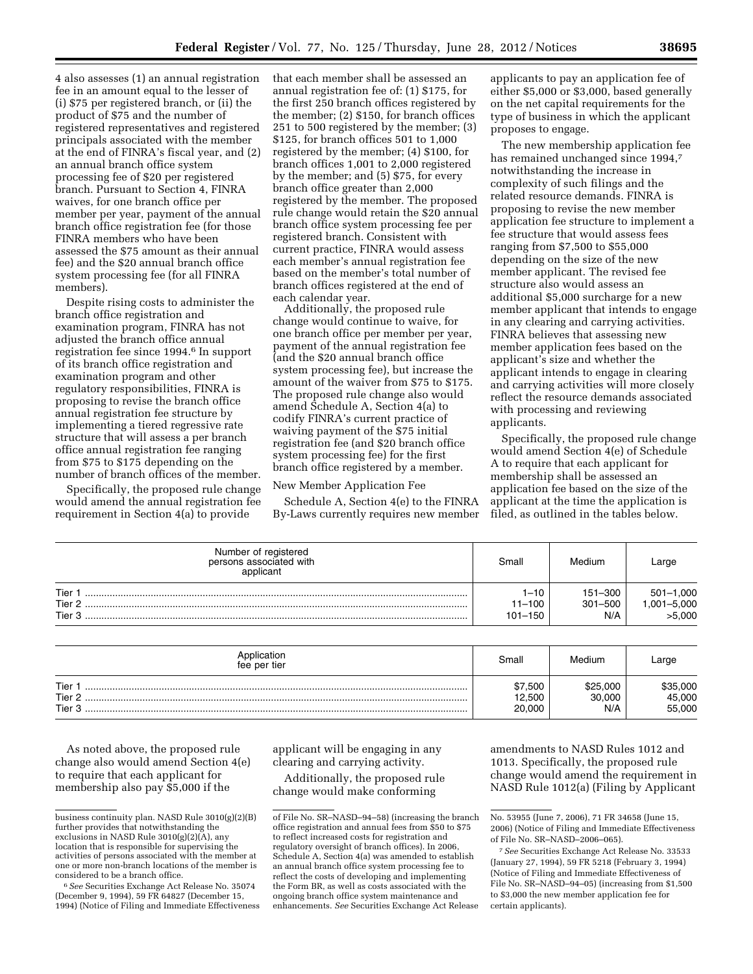4 also assesses (1) an annual registration fee in an amount equal to the lesser of (i) \$75 per registered branch, or (ii) the product of \$75 and the number of registered representatives and registered principals associated with the member at the end of FINRA's fiscal year, and (2) an annual branch office system processing fee of \$20 per registered branch. Pursuant to Section 4, FINRA waives, for one branch office per member per year, payment of the annual branch office registration fee (for those FINRA members who have been assessed the \$75 amount as their annual fee) and the \$20 annual branch office system processing fee (for all FINRA members).

Despite rising costs to administer the branch office registration and examination program, FINRA has not adjusted the branch office annual registration fee since 1994.6 In support of its branch office registration and examination program and other regulatory responsibilities, FINRA is proposing to revise the branch office annual registration fee structure by implementing a tiered regressive rate structure that will assess a per branch office annual registration fee ranging from \$75 to \$175 depending on the number of branch offices of the member.

Specifically, the proposed rule change would amend the annual registration fee requirement in Section 4(a) to provide

that each member shall be assessed an annual registration fee of: (1) \$175, for the first 250 branch offices registered by the member; (2) \$150, for branch offices 251 to 500 registered by the member; (3) \$125, for branch offices 501 to 1,000 registered by the member; (4) \$100, for branch offices 1,001 to 2,000 registered by the member; and (5) \$75, for every branch office greater than 2,000 registered by the member. The proposed rule change would retain the \$20 annual branch office system processing fee per registered branch. Consistent with current practice, FINRA would assess each member's annual registration fee based on the member's total number of branch offices registered at the end of each calendar year.

Additionally, the proposed rule change would continue to waive, for one branch office per member per year, payment of the annual registration fee (and the \$20 annual branch office system processing fee), but increase the amount of the waiver from \$75 to \$175. The proposed rule change also would amend Schedule A, Section 4(a) to codify FINRA's current practice of waiving payment of the \$75 initial registration fee (and \$20 branch office system processing fee) for the first branch office registered by a member.

### New Member Application Fee

Schedule A, Section 4(e) to the FINRA By-Laws currently requires new member applicants to pay an application fee of either \$5,000 or \$3,000, based generally on the net capital requirements for the type of business in which the applicant proposes to engage.

The new membership application fee has remained unchanged since 1994,7 notwithstanding the increase in complexity of such filings and the related resource demands. FINRA is proposing to revise the new member application fee structure to implement a fee structure that would assess fees ranging from \$7,500 to \$55,000 depending on the size of the new member applicant. The revised fee structure also would assess an additional \$5,000 surcharge for a new member applicant that intends to engage in any clearing and carrying activities. FINRA believes that assessing new member application fees based on the applicant's size and whether the applicant intends to engage in clearing and carrying activities will more closely reflect the resource demands associated with processing and reviewing applicants.

Specifically, the proposed rule change would amend Section 4(e) of Schedule A to require that each applicant for membership shall be assessed an application fee based on the size of the applicant at the time the application is filed, as outlined in the tables below.

| Number of registered<br>persons associated with<br>applicant | Small                                 | Medium                        | Large                                 |
|--------------------------------------------------------------|---------------------------------------|-------------------------------|---------------------------------------|
| Tier<br>Tier 2<br>Tier <sub>3</sub>                          | $1 - 10$<br>$11 - 100$<br>$101 - 150$ | 151-300<br>$301 - 500$<br>N/A | $501 - 1,000$<br>,001–5,000<br>>5,000 |

| Application<br>fee per tier | Small             | Medium             | ∟arge              |
|-----------------------------|-------------------|--------------------|--------------------|
| Tier<br>Tier <sub>2</sub>   | \$7,500<br>12.500 | \$25,000<br>30,000 | \$35,000<br>45,000 |
| Tier 3                      | 20,000            | N/A                | 55,000             |

As noted above, the proposed rule change also would amend Section 4(e) to require that each applicant for membership also pay \$5,000 if the

applicant will be engaging in any clearing and carrying activity.

Additionally, the proposed rule change would make conforming

amendments to NASD Rules 1012 and 1013. Specifically, the proposed rule change would amend the requirement in NASD Rule 1012(a) (Filing by Applicant

business continuity plan. NASD Rule 3010(g)(2)(B) further provides that notwithstanding the exclusions in NASD Rule 3010(g)(2)(A), any location that is responsible for supervising the activities of persons associated with the member at one or more non-branch locations of the member is considered to be a branch office.

<sup>6</sup>*See* Securities Exchange Act Release No. 35074 (December 9, 1994), 59 FR 64827 (December 15, 1994) (Notice of Filing and Immediate Effectiveness

of File No. SR–NASD–94–58) (increasing the branch office registration and annual fees from \$50 to \$75 to reflect increased costs for registration and regulatory oversight of branch offices). In 2006, Schedule A, Section 4(a) was amended to establish an annual branch office system processing fee to reflect the costs of developing and implementing the Form BR, as well as costs associated with the ongoing branch office system maintenance and enhancements. *See* Securities Exchange Act Release

No. 53955 (June 7, 2006), 71 FR 34658 (June 15, 2006) (Notice of Filing and Immediate Effectiveness of File No. SR–NASD–2006–065).

<sup>7</sup>*See* Securities Exchange Act Release No. 33533 (January 27, 1994), 59 FR 5218 (February 3, 1994) (Notice of Filing and Immediate Effectiveness of File No. SR–NASD–94–05) (increasing from \$1,500 to \$3,000 the new member application fee for certain applicants).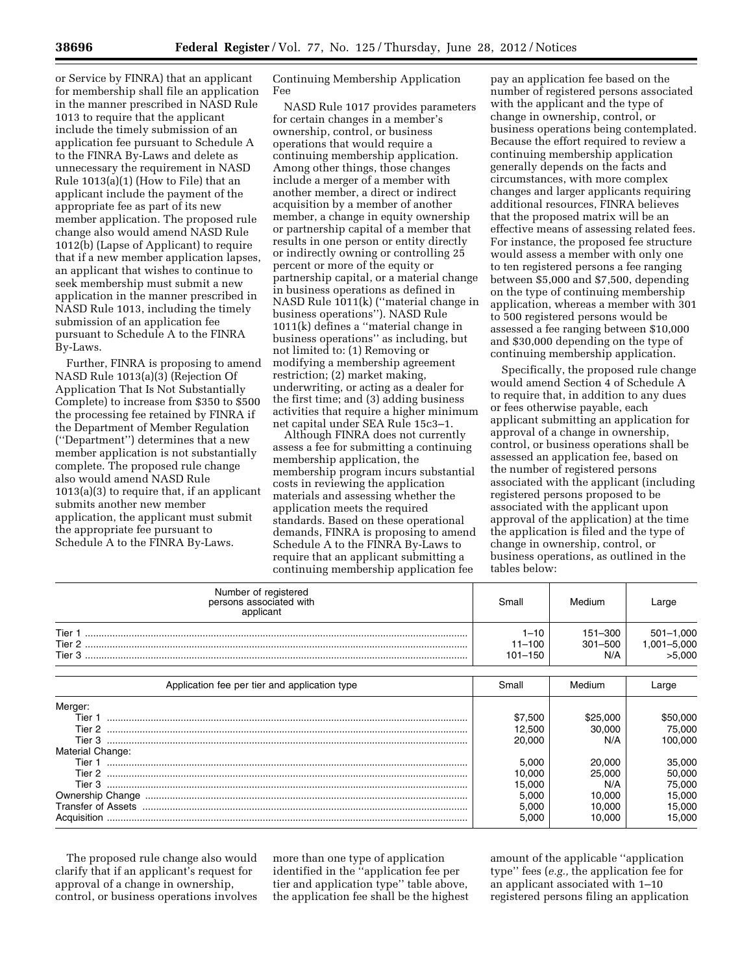or Service by FINRA) that an applicant for membership shall file an application in the manner prescribed in NASD Rule 1013 to require that the applicant include the timely submission of an application fee pursuant to Schedule A to the FINRA By-Laws and delete as unnecessary the requirement in NASD Rule 1013(a)(1) (How to File) that an applicant include the payment of the appropriate fee as part of its new member application. The proposed rule change also would amend NASD Rule 1012(b) (Lapse of Applicant) to require that if a new member application lapses, an applicant that wishes to continue to seek membership must submit a new application in the manner prescribed in NASD Rule 1013, including the timely submission of an application fee pursuant to Schedule A to the FINRA By-Laws.

Further, FINRA is proposing to amend NASD Rule 1013(a)(3) (Rejection Of Application That Is Not Substantially Complete) to increase from \$350 to \$500 the processing fee retained by FINRA if the Department of Member Regulation (''Department'') determines that a new member application is not substantially complete. The proposed rule change also would amend NASD Rule 1013(a)(3) to require that, if an applicant submits another new member application, the applicant must submit the appropriate fee pursuant to Schedule A to the FINRA By-Laws.

Continuing Membership Application Fee

NASD Rule 1017 provides parameters for certain changes in a member's ownership, control, or business operations that would require a continuing membership application. Among other things, those changes include a merger of a member with another member, a direct or indirect acquisition by a member of another member, a change in equity ownership or partnership capital of a member that results in one person or entity directly or indirectly owning or controlling 25 percent or more of the equity or partnership capital, or a material change in business operations as defined in NASD Rule 1011(k) (''material change in business operations''). NASD Rule 1011(k) defines a ''material change in business operations'' as including, but not limited to: (1) Removing or modifying a membership agreement restriction; (2) market making, underwriting, or acting as a dealer for the first time; and (3) adding business activities that require a higher minimum net capital under SEA Rule 15c3–1.

Although FINRA does not currently assess a fee for submitting a continuing membership application, the membership program incurs substantial costs in reviewing the application materials and assessing whether the application meets the required standards. Based on these operational demands, FINRA is proposing to amend Schedule A to the FINRA By-Laws to require that an applicant submitting a continuing membership application fee

pay an application fee based on the number of registered persons associated with the applicant and the type of change in ownership, control, or business operations being contemplated. Because the effort required to review a continuing membership application generally depends on the facts and circumstances, with more complex changes and larger applicants requiring additional resources, FINRA believes that the proposed matrix will be an effective means of assessing related fees. For instance, the proposed fee structure would assess a member with only one to ten registered persons a fee ranging between \$5,000 and \$7,500, depending on the type of continuing membership application, whereas a member with 301 to 500 registered persons would be assessed a fee ranging between \$10,000 and \$30,000 depending on the type of continuing membership application.

Specifically, the proposed rule change would amend Section 4 of Schedule A to require that, in addition to any dues or fees otherwise payable, each applicant submitting an application for approval of a change in ownership, control, or business operations shall be assessed an application fee, based on the number of registered persons associated with the applicant (including registered persons proposed to be associated with the applicant upon approval of the application) at the time the application is filed and the type of change in ownership, control, or business operations, as outlined in the tables below:

| Number of registered<br>persons associated with<br>applicant | Small                                 | Medium                            | Large                                  |
|--------------------------------------------------------------|---------------------------------------|-----------------------------------|----------------------------------------|
| Tier 1<br>Tier 2<br>Tier 3                                   | $1 - 10$<br>$11 - 100$<br>$101 - 150$ | $151 - 300$<br>$301 - 500$<br>N/A | $501 - 1,000$<br>1,001-5,000<br>5,000< |
| Application fee per tier and application type                | Small                                 | Medium                            | Large                                  |

| Application ree per tier and application type | Small   | <u>Medium</u> | Large   |
|-----------------------------------------------|---------|---------------|---------|
| Merger:                                       |         |               |         |
| Tier 1                                        | \$7.500 | \$25.00C      | 50,000، |
| Tier 2                                        | 12.500  | 30,000        | 75.000  |
| Tier 3                                        | 20.000  | N/A           | 100.000 |
| Material Change:                              |         |               |         |
| Tier 1                                        | 5.000   | 20.000        | 35.000  |
| Tier 2                                        | 0.000   | 25.000        | 50.000  |
| Tier 3                                        | 15.000  | N/A           | 75.000  |
|                                               | 5.000   | 10.000        | 15.000  |
| Transfer of Assets                            | 5.000   | 10.000        | 15.000  |
| Acquisition                                   | 5.000   | 10.000        | 15.000  |

The proposed rule change also would clarify that if an applicant's request for approval of a change in ownership, control, or business operations involves

more than one type of application identified in the ''application fee per tier and application type'' table above, the application fee shall be the highest amount of the applicable ''application type'' fees (*e.g.,* the application fee for an applicant associated with 1–10 registered persons filing an application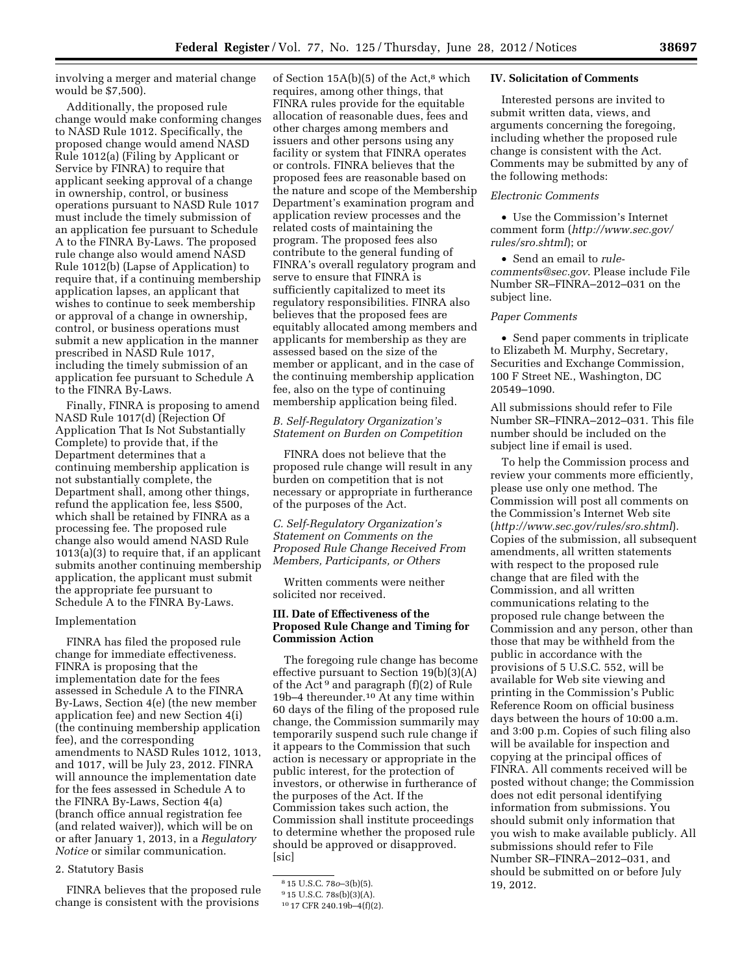involving a merger and material change would be \$7,500).

Additionally, the proposed rule change would make conforming changes to NASD Rule 1012. Specifically, the proposed change would amend NASD Rule 1012(a) (Filing by Applicant or Service by FINRA) to require that applicant seeking approval of a change in ownership, control, or business operations pursuant to NASD Rule 1017 must include the timely submission of an application fee pursuant to Schedule A to the FINRA By-Laws. The proposed rule change also would amend NASD Rule 1012(b) (Lapse of Application) to require that, if a continuing membership application lapses, an applicant that wishes to continue to seek membership or approval of a change in ownership, control, or business operations must submit a new application in the manner prescribed in NASD Rule 1017, including the timely submission of an application fee pursuant to Schedule A to the FINRA By-Laws.

Finally, FINRA is proposing to amend NASD Rule 1017(d) (Rejection Of Application That Is Not Substantially Complete) to provide that, if the Department determines that a continuing membership application is not substantially complete, the Department shall, among other things, refund the application fee, less \$500, which shall be retained by FINRA as a processing fee. The proposed rule change also would amend NASD Rule 1013(a)(3) to require that, if an applicant submits another continuing membership application, the applicant must submit the appropriate fee pursuant to Schedule A to the FINRA By-Laws.

#### Implementation

FINRA has filed the proposed rule change for immediate effectiveness. FINRA is proposing that the implementation date for the fees assessed in Schedule A to the FINRA By-Laws, Section 4(e) (the new member application fee) and new Section 4(i) (the continuing membership application fee), and the corresponding amendments to NASD Rules 1012, 1013, and 1017, will be July 23, 2012. FINRA will announce the implementation date for the fees assessed in Schedule A to the FINRA By-Laws, Section 4(a) (branch office annual registration fee (and related waiver)), which will be on or after January 1, 2013, in a *Regulatory Notice* or similar communication.

### 2. Statutory Basis

FINRA believes that the proposed rule change is consistent with the provisions

of Section  $15A(b)(5)$  of the Act,<sup>8</sup> which requires, among other things, that FINRA rules provide for the equitable allocation of reasonable dues, fees and other charges among members and issuers and other persons using any facility or system that FINRA operates or controls. FINRA believes that the proposed fees are reasonable based on the nature and scope of the Membership Department's examination program and application review processes and the related costs of maintaining the program. The proposed fees also contribute to the general funding of FINRA's overall regulatory program and serve to ensure that FINRA is sufficiently capitalized to meet its regulatory responsibilities. FINRA also believes that the proposed fees are equitably allocated among members and applicants for membership as they are assessed based on the size of the member or applicant, and in the case of the continuing membership application fee, also on the type of continuing membership application being filed.

## *B. Self-Regulatory Organization's Statement on Burden on Competition*

FINRA does not believe that the proposed rule change will result in any burden on competition that is not necessary or appropriate in furtherance of the purposes of the Act.

*C. Self-Regulatory Organization's Statement on Comments on the Proposed Rule Change Received From Members, Participants, or Others* 

Written comments were neither solicited nor received.

### **III. Date of Effectiveness of the Proposed Rule Change and Timing for Commission Action**

The foregoing rule change has become effective pursuant to Section 19(b)(3)(A) of the Act<sup>9</sup> and paragraph (f)(2) of Rule 19b–4 thereunder.10 At any time within 60 days of the filing of the proposed rule change, the Commission summarily may temporarily suspend such rule change if it appears to the Commission that such action is necessary or appropriate in the public interest, for the protection of investors, or otherwise in furtherance of the purposes of the Act. If the Commission takes such action, the Commission shall institute proceedings to determine whether the proposed rule should be approved or disapproved. [sic]

#### **IV. Solicitation of Comments**

Interested persons are invited to submit written data, views, and arguments concerning the foregoing, including whether the proposed rule change is consistent with the Act. Comments may be submitted by any of the following methods:

## *Electronic Comments*

• Use the Commission's Internet comment form (*[http://www.sec.gov/](http://www.sec.gov/rules/sro.shtml)  [rules/sro.shtml](http://www.sec.gov/rules/sro.shtml)*); or

• Send an email to *[rule](mailto:rule-comments@sec.gov)[comments@sec.gov](mailto:rule-comments@sec.gov)*. Please include File Number SR–FINRA–2012–031 on the subject line.

#### *Paper Comments*

• Send paper comments in triplicate to Elizabeth M. Murphy, Secretary, Securities and Exchange Commission, 100 F Street NE., Washington, DC 20549–1090.

All submissions should refer to File Number SR–FINRA–2012–031. This file number should be included on the subject line if email is used.

To help the Commission process and review your comments more efficiently, please use only one method. The Commission will post all comments on the Commission's Internet Web site (*<http://www.sec.gov/rules/sro.shtml>*). Copies of the submission, all subsequent amendments, all written statements with respect to the proposed rule change that are filed with the Commission, and all written communications relating to the proposed rule change between the Commission and any person, other than those that may be withheld from the public in accordance with the provisions of 5 U.S.C. 552, will be available for Web site viewing and printing in the Commission's Public Reference Room on official business days between the hours of 10:00 a.m. and 3:00 p.m. Copies of such filing also will be available for inspection and copying at the principal offices of FINRA. All comments received will be posted without change; the Commission does not edit personal identifying information from submissions. You should submit only information that you wish to make available publicly. All submissions should refer to File Number SR–FINRA–2012–031, and should be submitted on or before July 19, 2012.

<sup>8</sup> 15 U.S.C. 78*o*–3(b)(5).

<sup>9</sup> 15 U.S.C. 78s(b)(3)(A).

<sup>10</sup> 17 CFR 240.19b–4(f)(2).